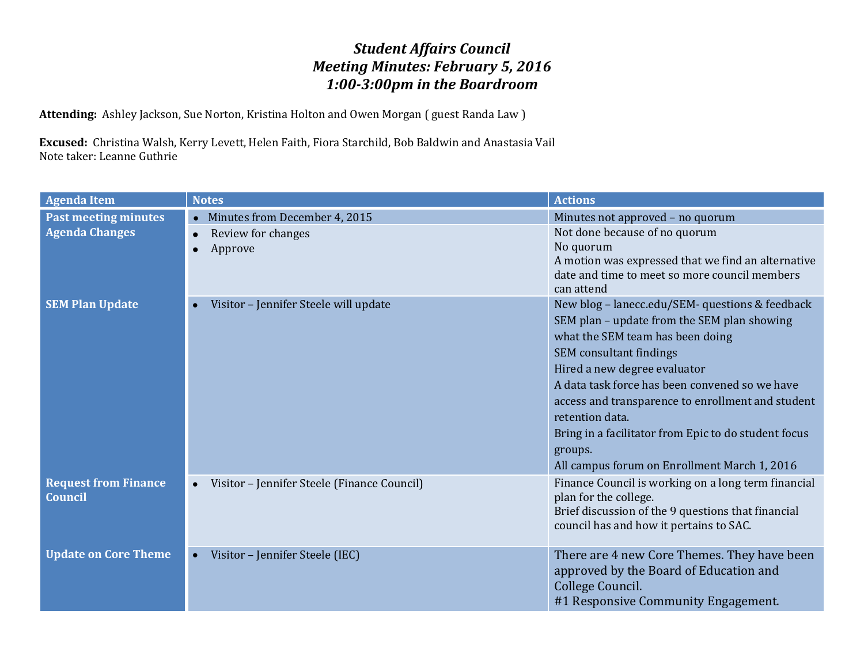## *Student Affairs Council Meeting Minutes: February 5, 2016 1:00-3:00pm in the Boardroom*

**Attending:** Ashley Jackson, Sue Norton, Kristina Holton and Owen Morgan ( guest Randa Law )

**Excused:** Christina Walsh, Kerry Levett, Helen Faith, Fiora Starchild, Bob Baldwin and Anastasia Vail Note taker: Leanne Guthrie

| <b>Agenda Item</b>                            | <b>Notes</b>                                             | <b>Actions</b>                                                                                                                                                                                                                                                                                                                                                                                                                                                  |
|-----------------------------------------------|----------------------------------------------------------|-----------------------------------------------------------------------------------------------------------------------------------------------------------------------------------------------------------------------------------------------------------------------------------------------------------------------------------------------------------------------------------------------------------------------------------------------------------------|
| <b>Past meeting minutes</b>                   | • Minutes from December 4, 2015                          | Minutes not approved - no quorum                                                                                                                                                                                                                                                                                                                                                                                                                                |
| <b>Agenda Changes</b>                         | Review for changes<br>Approve                            | Not done because of no quorum<br>No quorum<br>A motion was expressed that we find an alternative<br>date and time to meet so more council members                                                                                                                                                                                                                                                                                                               |
| <b>SEM Plan Update</b>                        | Visitor - Jennifer Steele will update                    | can attend<br>New blog - lanecc.edu/SEM- questions & feedback<br>SEM plan - update from the SEM plan showing<br>what the SEM team has been doing<br><b>SEM</b> consultant findings<br>Hired a new degree evaluator<br>A data task force has been convened so we have<br>access and transparence to enrollment and student<br>retention data.<br>Bring in a facilitator from Epic to do student focus<br>groups.<br>All campus forum on Enrollment March 1, 2016 |
| <b>Request from Finance</b><br><b>Council</b> | Visitor - Jennifer Steele (Finance Council)<br>$\bullet$ | Finance Council is working on a long term financial<br>plan for the college.<br>Brief discussion of the 9 questions that financial<br>council has and how it pertains to SAC.                                                                                                                                                                                                                                                                                   |
| <b>Update on Core Theme</b>                   | Visitor - Jennifer Steele (IEC)<br>$\bullet$             | There are 4 new Core Themes. They have been<br>approved by the Board of Education and<br>College Council.<br>#1 Responsive Community Engagement.                                                                                                                                                                                                                                                                                                                |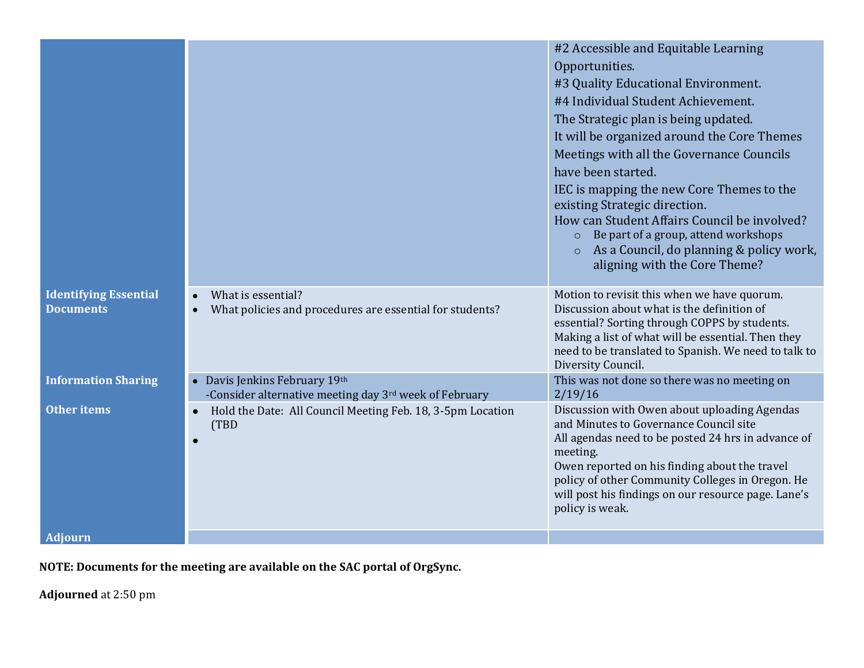|                                                  |                                                                                         | #2 Accessible and Equitable Learning<br>Opportunities.<br>#3 Quality Educational Environment.<br>#4 Individual Student Achievement.<br>The Strategic plan is being updated.<br>It will be organized around the Core Themes<br>Meetings with all the Governance Councils<br>have been started.<br>IEC is mapping the new Core Themes to the<br>existing Strategic direction.<br>How can Student Affairs Council be involved?<br>Be part of a group, attend workshops<br>$\Omega$<br>As a Council, do planning & policy work,<br>$\Omega$ |
|--------------------------------------------------|-----------------------------------------------------------------------------------------|-----------------------------------------------------------------------------------------------------------------------------------------------------------------------------------------------------------------------------------------------------------------------------------------------------------------------------------------------------------------------------------------------------------------------------------------------------------------------------------------------------------------------------------------|
|                                                  |                                                                                         | aligning with the Core Theme?                                                                                                                                                                                                                                                                                                                                                                                                                                                                                                           |
| <b>Identifying Essential</b><br><b>Documents</b> | What is essential?<br>What policies and procedures are essential for students?          | Motion to revisit this when we have quorum.<br>Discussion about what is the definition of<br>essential? Sorting through COPPS by students.<br>Making a list of what will be essential. Then they<br>need to be translated to Spanish. We need to talk to<br>Diversity Council.                                                                                                                                                                                                                                                          |
| <b>Information Sharing</b>                       | • Davis Jenkins February 19th<br>-Consider alternative meeting day 3rd week of February | This was not done so there was no meeting on<br>2/19/16                                                                                                                                                                                                                                                                                                                                                                                                                                                                                 |
| <b>Other items</b>                               | Hold the Date: All Council Meeting Feb. 18, 3-5pm Location<br>(TBD<br>$\bullet$         | Discussion with Owen about uploading Agendas<br>and Minutes to Governance Council site<br>All agendas need to be posted 24 hrs in advance of<br>meeting.<br>Owen reported on his finding about the travel<br>policy of other Community Colleges in Oregon. He<br>will post his findings on our resource page. Lane's<br>policy is weak.                                                                                                                                                                                                 |
| <b>Adiourn</b>                                   |                                                                                         |                                                                                                                                                                                                                                                                                                                                                                                                                                                                                                                                         |

**NOTE: Documents for the meeting are available on the SAC portal of OrgSync.**

**Adjourned** at 2:50 pm